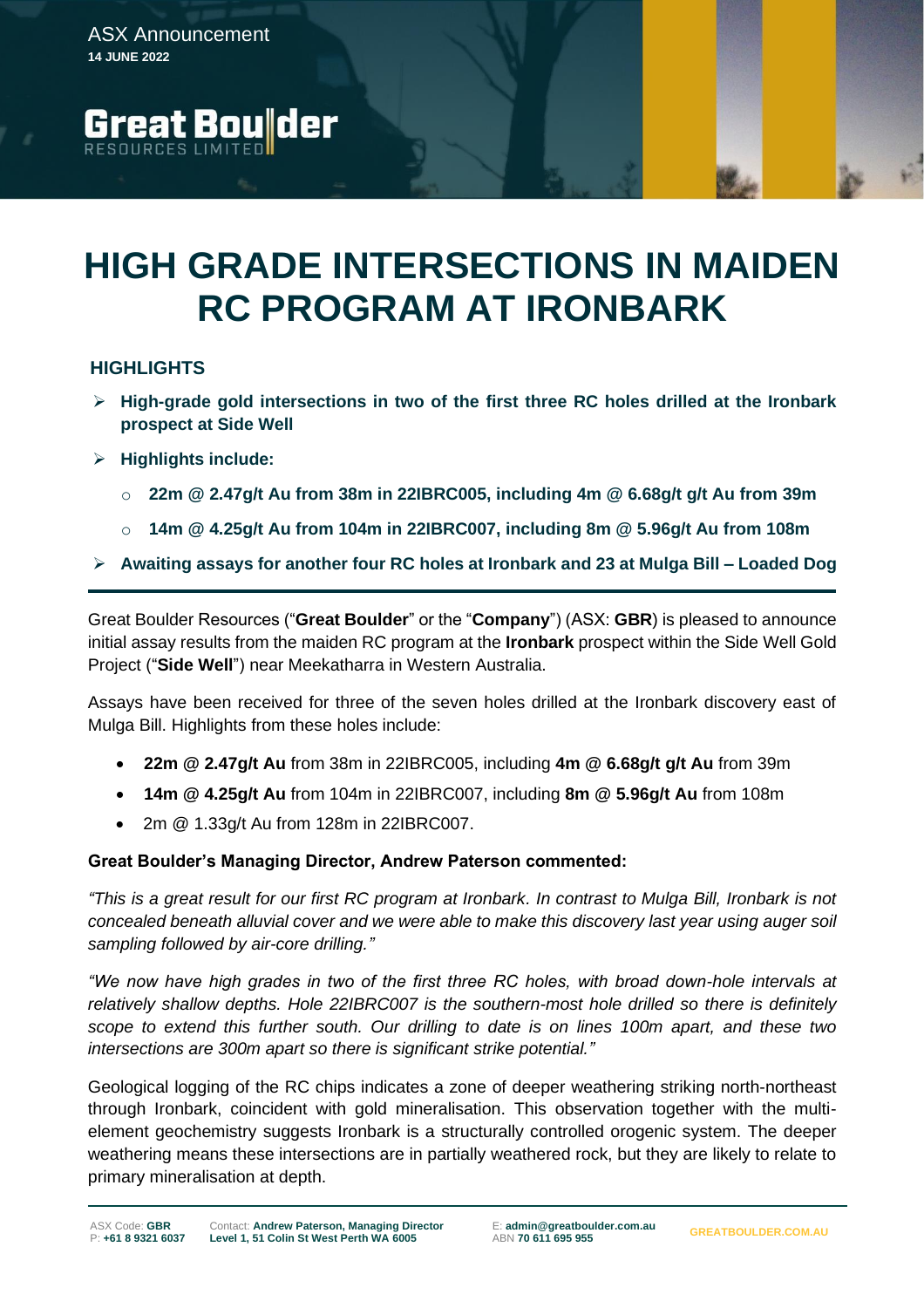**Great Boulder** 



# **HIGHLIGHTS**

- ➢ **High-grade gold intersections in two of the first three RC holes drilled at the Ironbark prospect at Side Well**
- ➢ **Highlights include:**
	- o **22m @ 2.47g/t Au from 38m in 22IBRC005, including 4m @ 6.68g/t g/t Au from 39m**
	- o **14m @ 4.25g/t Au from 104m in 22IBRC007, including 8m @ 5.96g/t Au from 108m**
- ➢ **Awaiting assays for another four RC holes at Ironbark and 23 at Mulga Bill – Loaded Dog**

Great Boulder Resources ("**Great Boulder**" or the "**Company**") (ASX: **GBR**) is pleased to announce initial assay results from the maiden RC program at the **Ironbark** prospect within the Side Well Gold Project ("**Side Well**") near Meekatharra in Western Australia.

Assays have been received for three of the seven holes drilled at the Ironbark discovery east of Mulga Bill. Highlights from these holes include:

- **22m @ 2.47g/t Au** from 38m in 22IBRC005, including **4m @ 6.68g/t g/t Au** from 39m
- **14m @ 4.25g/t Au** from 104m in 22IBRC007, including **8m @ 5.96g/t Au** from 108m
- 2m @ 1.33g/t Au from 128m in 22IBRC007.

## **Great Boulder's Managing Director, Andrew Paterson commented:**

*"This is a great result for our first RC program at Ironbark. In contrast to Mulga Bill, Ironbark is not concealed beneath alluvial cover and we were able to make this discovery last year using auger soil sampling followed by air-core drilling."*

*"We now have high grades in two of the first three RC holes, with broad down-hole intervals at relatively shallow depths. Hole 22IBRC007 is the southern-most hole drilled so there is definitely scope to extend this further south. Our drilling to date is on lines 100m apart, and these two intersections are 300m apart so there is significant strike potential."*

Geological logging of the RC chips indicates a zone of deeper weathering striking north-northeast through Ironbark, coincident with gold mineralisation. This observation together with the multielement geochemistry suggests Ironbark is a structurally controlled orogenic system. The deeper weathering means these intersections are in partially weathered rock, but they are likely to relate to primary mineralisation at depth.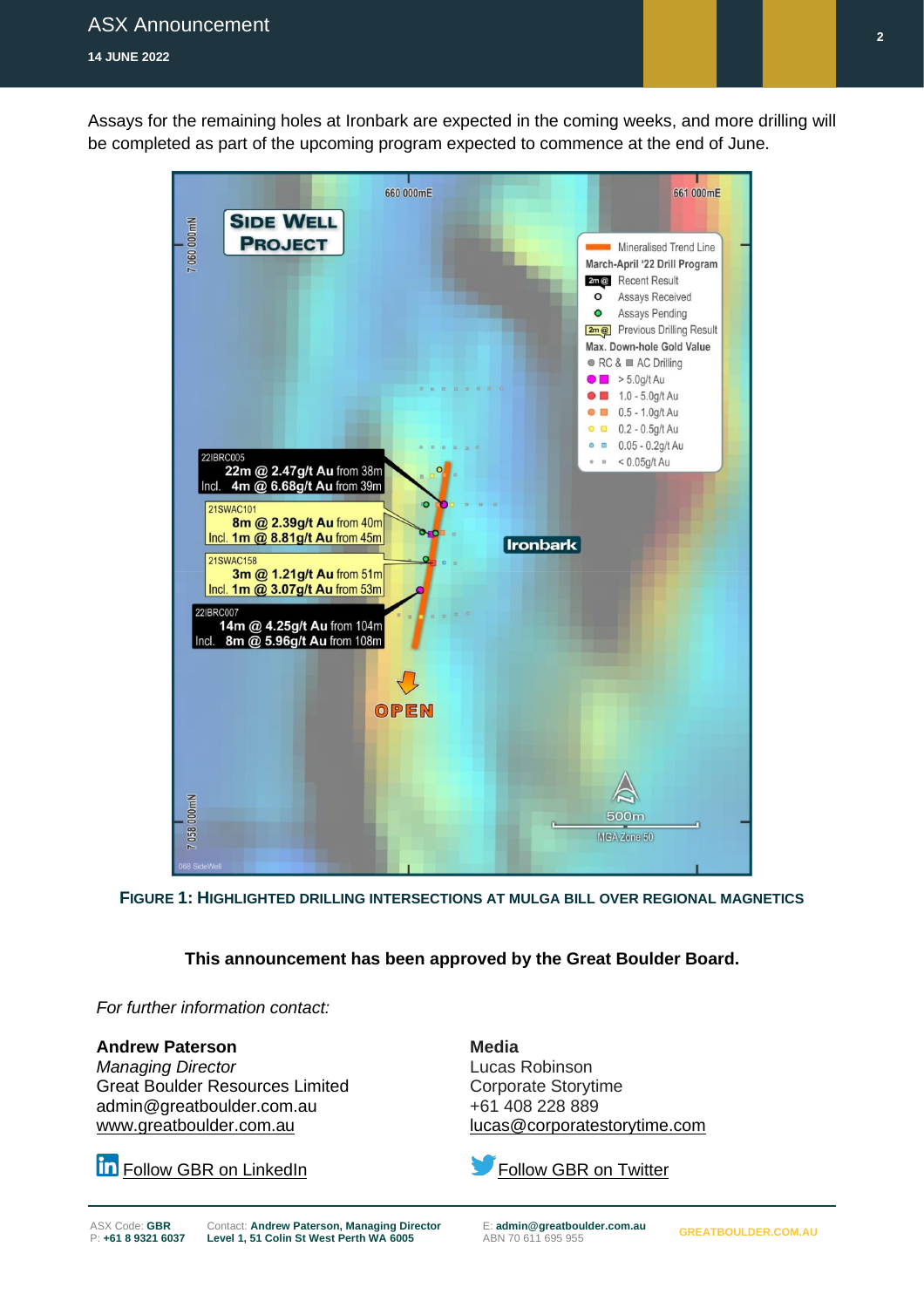Assays for the remaining holes at Ironbark are expected in the coming weeks, and more drilling will be completed as part of the upcoming program expected to commence at the end of June.



**FIGURE 1: HIGHLIGHTED DRILLING INTERSECTIONS AT MULGA BILL OVER REGIONAL MAGNETICS**

# **This announcement has been approved by the Great Boulder Board.**

*For further information contact:*

### **Andrew Paterson**

*Managing Director* Great Boulder Resources Limited admin@greatboulder.com.au [www.greatboulder.com.au](http://www.greatboulder.com.au/) [lucas@corporatestorytime.com](mailto:lucas@corporatestorytime.com)

**In** [Follow GBR on LinkedIn](https://www.linkedin.com/company/great-boulder-resources/?viewAsMember=true) [Follow GBR on Twitter](https://twitter.com/GreatBoulder)

**Media** Lucas Robinson Corporate Storytime +61 408 228 889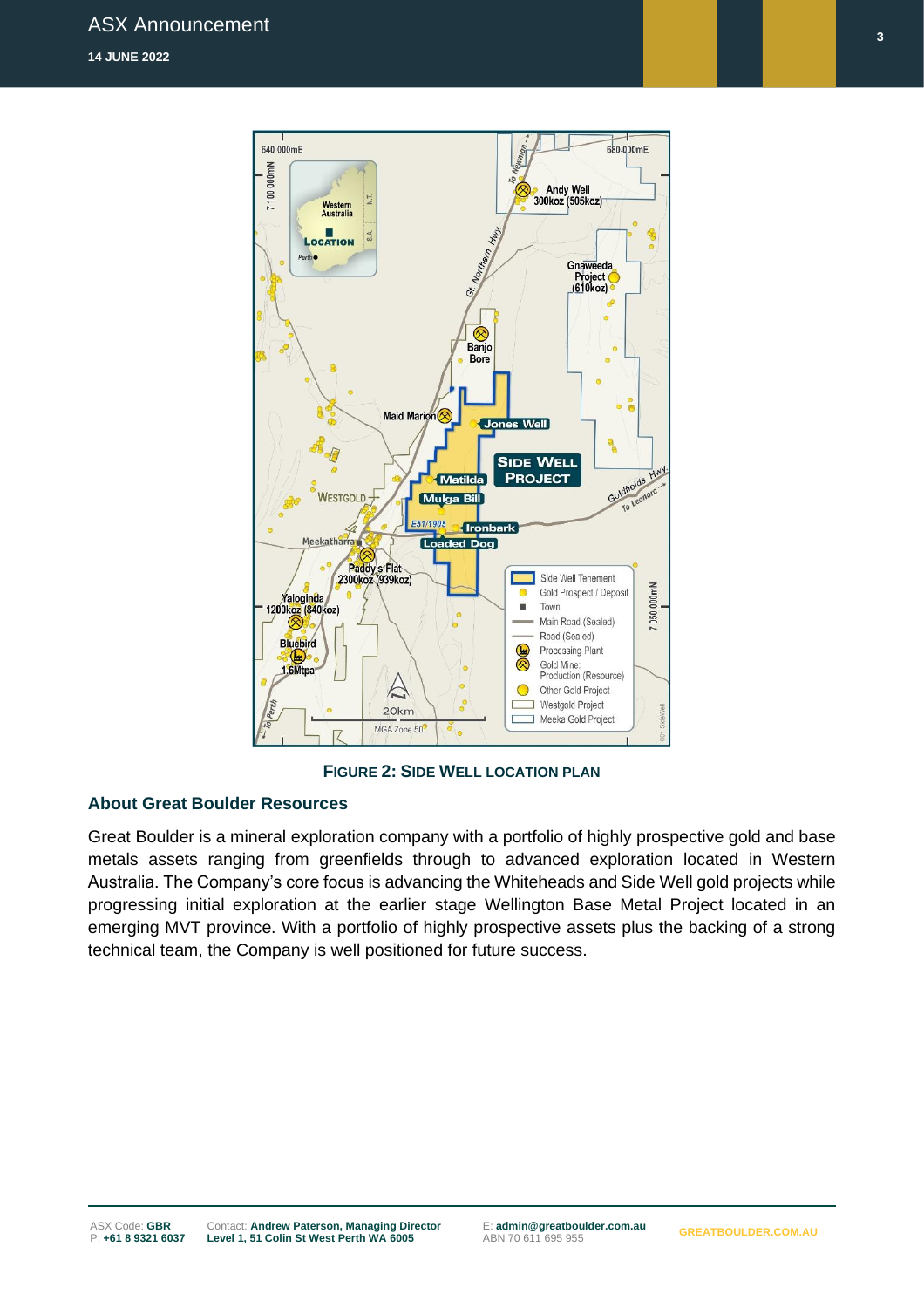

**FIGURE 2: SIDE WELL LOCATION PLAN**

## **About Great Boulder Resources**

Great Boulder is a mineral exploration company with a portfolio of highly prospective gold and base metals assets ranging from greenfields through to advanced exploration located in Western Australia. The Company's core focus is advancing the Whiteheads and Side Well gold projects while progressing initial exploration at the earlier stage Wellington Base Metal Project located in an emerging MVT province. With a portfolio of highly prospective assets plus the backing of a strong technical team, the Company is well positioned for future success.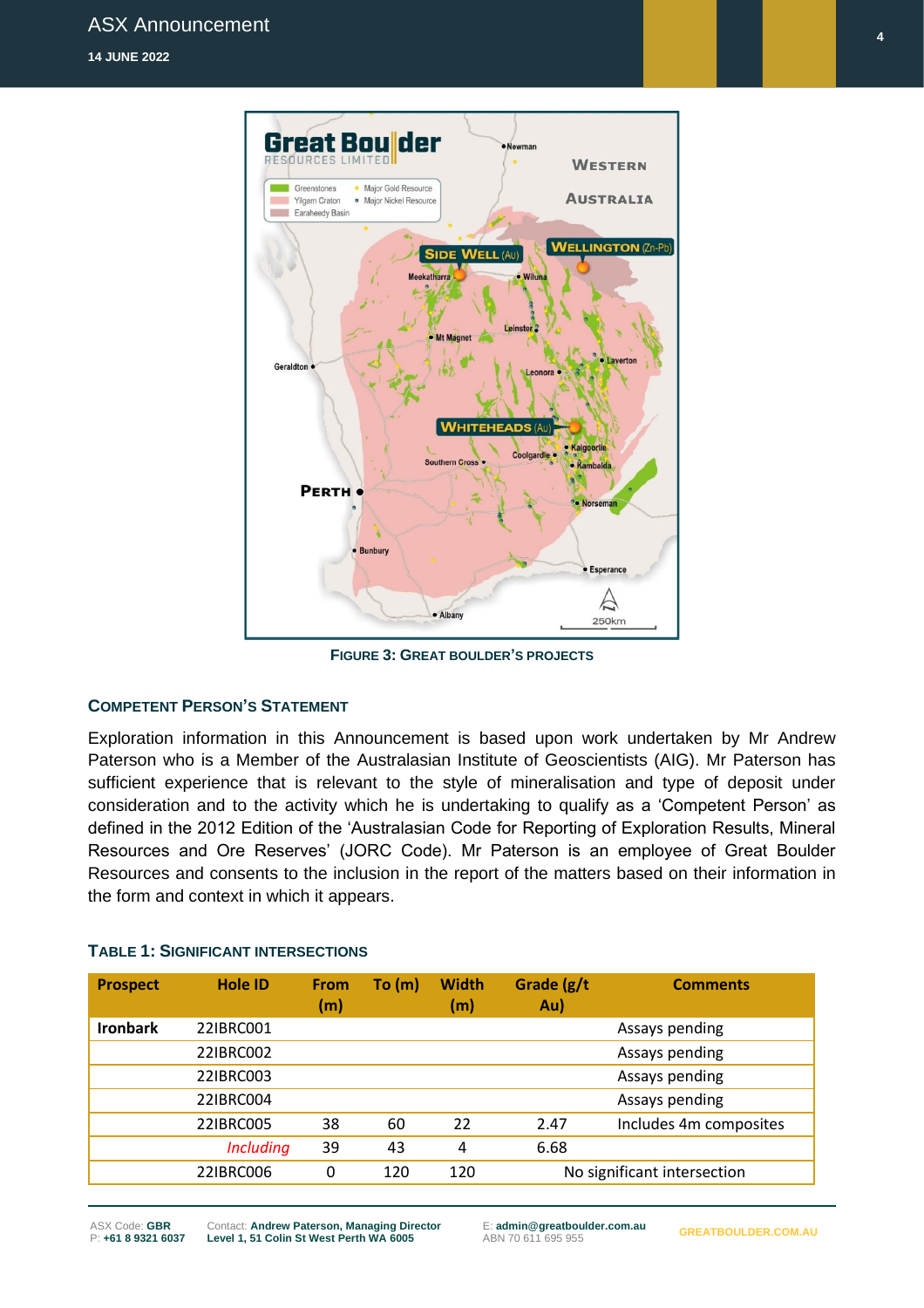

**FIGURE 3: GREAT BOULDER'S PROJECTS**

## **COMPETENT PERSON'S STATEMENT**

Exploration information in this Announcement is based upon work undertaken by Mr Andrew Paterson who is a Member of the Australasian Institute of Geoscientists (AIG). Mr Paterson has sufficient experience that is relevant to the style of mineralisation and type of deposit under consideration and to the activity which he is undertaking to qualify as a 'Competent Person' as defined in the 2012 Edition of the 'Australasian Code for Reporting of Exploration Results, Mineral Resources and Ore Reserves' (JORC Code). Mr Paterson is an employee of Great Boulder Resources and consents to the inclusion in the report of the matters based on their information in the form and context in which it appears.

| <b>Prospect</b> | <b>Hole ID</b>   | <b>From</b><br>(m) | To (m) | <b>Width</b><br>(m) | Grade (g/t<br>Au) | <b>Comments</b>             |
|-----------------|------------------|--------------------|--------|---------------------|-------------------|-----------------------------|
| <b>Ironbark</b> | 22IBRC001        |                    |        |                     |                   | Assays pending              |
|                 | 22IBRC002        |                    |        |                     |                   | Assays pending              |
|                 | 22IBRC003        |                    |        |                     |                   | Assays pending              |
|                 | 22IBRC004        |                    |        |                     |                   | Assays pending              |
|                 | 22IBRC005        | 38                 | 60     | 22                  | 2.47              | Includes 4m composites      |
|                 | <b>Including</b> | 39                 | 43     | 4                   | 6.68              |                             |
|                 | 22IBRC006        | 0                  | 120    | 120                 |                   | No significant intersection |

### **TABLE 1: SIGNIFICANT INTERSECTIONS**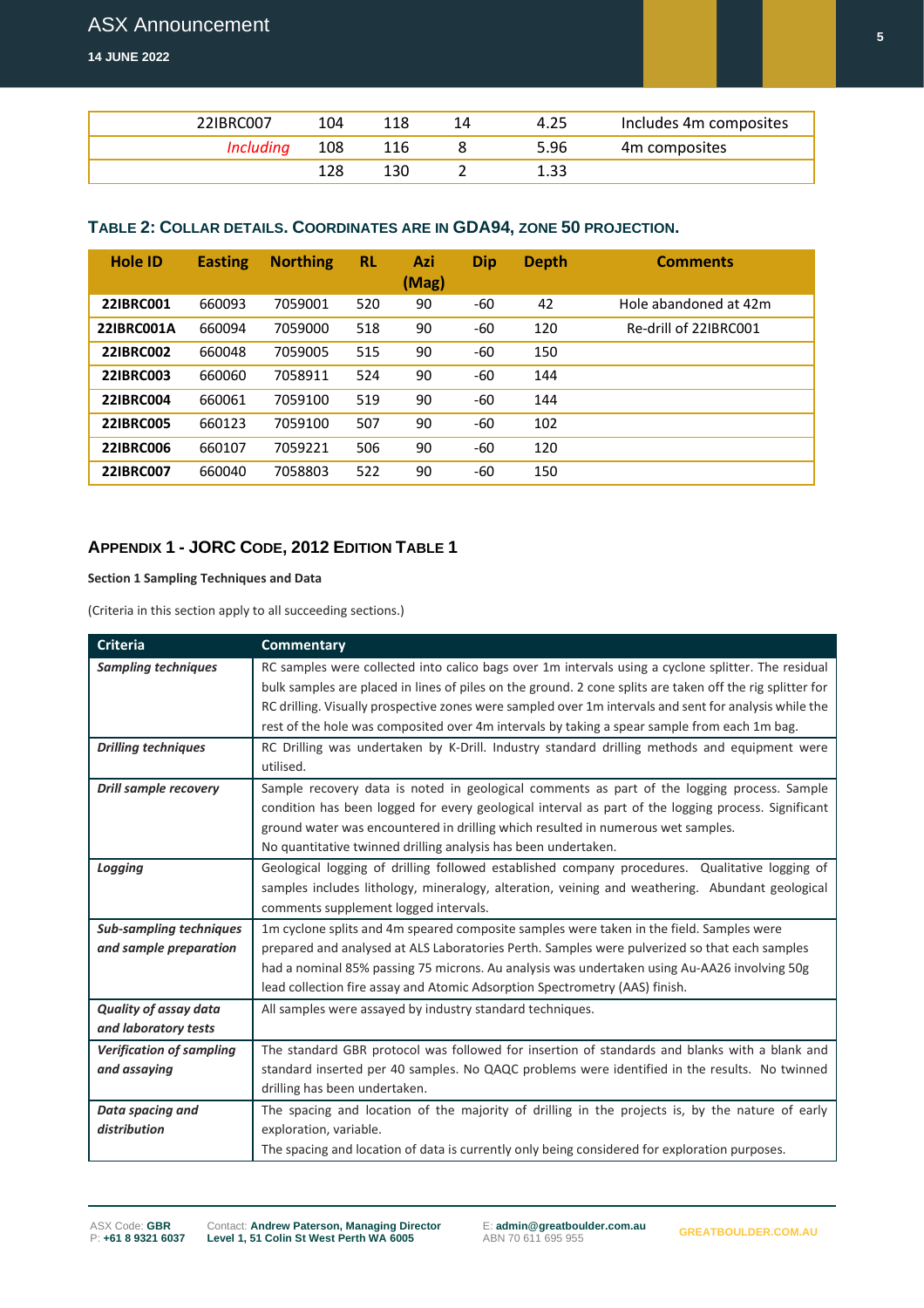**14 JUNE 2022**

| 22IBRC007 | 104 | 118 | 4.25 | Includes 4m composites |
|-----------|-----|-----|------|------------------------|
| Includina | 108 | 116 | 5.96 | 4m composites          |
|           |     | 130 | 1.33 |                        |

## **TABLE 2: COLLAR DETAILS. COORDINATES ARE IN GDA94, ZONE 50 PROJECTION.**

| <b>Hole ID</b>   | <b>Easting</b> | <b>Northing</b> | <b>RL</b> | Azi<br>(Mag) | Dip | Depth | <b>Comments</b>       |
|------------------|----------------|-----------------|-----------|--------------|-----|-------|-----------------------|
| <b>22IBRC001</b> | 660093         | 7059001         | 520       | 90           | -60 | 42    | Hole abandoned at 42m |
| 22IBRC001A       | 660094         | 7059000         | 518       | 90           | -60 | 120   | Re-drill of 22IBRC001 |
| <b>22IBRC002</b> | 660048         | 7059005         | 515       | 90           | -60 | 150   |                       |
| <b>22IBRC003</b> | 660060         | 7058911         | 524       | 90           | -60 | 144   |                       |
| <b>22IBRC004</b> | 660061         | 7059100         | 519       | 90           | -60 | 144   |                       |
| <b>22IBRC005</b> | 660123         | 7059100         | 507       | 90           | -60 | 102   |                       |
| <b>22IBRC006</b> | 660107         | 7059221         | 506       | 90           | -60 | 120   |                       |
| <b>22IBRC007</b> | 660040         | 7058803         | 522       | 90           | -60 | 150   |                       |

## **APPENDIX 1 - JORC CODE, 2012 EDITION TABLE 1**

**Section 1 Sampling Techniques and Data**

(Criteria in this section apply to all succeeding sections.)

| <b>Criteria</b>                 | <b>Commentary</b>                                                                                         |
|---------------------------------|-----------------------------------------------------------------------------------------------------------|
| <b>Sampling techniques</b>      | RC samples were collected into calico bags over 1m intervals using a cyclone splitter. The residual       |
|                                 | bulk samples are placed in lines of piles on the ground. 2 cone splits are taken off the rig splitter for |
|                                 | RC drilling. Visually prospective zones were sampled over 1m intervals and sent for analysis while the    |
|                                 | rest of the hole was composited over 4m intervals by taking a spear sample from each 1m bag.              |
| <b>Drilling techniques</b>      | RC Drilling was undertaken by K-Drill. Industry standard drilling methods and equipment were              |
|                                 | utilised.                                                                                                 |
| <b>Drill sample recovery</b>    | Sample recovery data is noted in geological comments as part of the logging process. Sample               |
|                                 | condition has been logged for every geological interval as part of the logging process. Significant       |
|                                 | ground water was encountered in drilling which resulted in numerous wet samples.                          |
|                                 | No quantitative twinned drilling analysis has been undertaken.                                            |
| Logging                         | Geological logging of drilling followed established company procedures. Qualitative logging of            |
|                                 | samples includes lithology, mineralogy, alteration, veining and weathering. Abundant geological           |
|                                 | comments supplement logged intervals.                                                                     |
| <b>Sub-sampling techniques</b>  | 1m cyclone splits and 4m speared composite samples were taken in the field. Samples were                  |
| and sample preparation          | prepared and analysed at ALS Laboratories Perth. Samples were pulverized so that each samples             |
|                                 | had a nominal 85% passing 75 microns. Au analysis was undertaken using Au-AA26 involving 50g              |
|                                 | lead collection fire assay and Atomic Adsorption Spectrometry (AAS) finish.                               |
| <b>Quality of assay data</b>    | All samples were assayed by industry standard techniques.                                                 |
| and laboratory tests            |                                                                                                           |
| <b>Verification of sampling</b> | The standard GBR protocol was followed for insertion of standards and blanks with a blank and             |
| and assaying                    | standard inserted per 40 samples. No QAQC problems were identified in the results. No twinned             |
|                                 | drilling has been undertaken.                                                                             |
| Data spacing and                | The spacing and location of the majority of drilling in the projects is, by the nature of early           |
| distribution                    | exploration, variable.                                                                                    |
|                                 | The spacing and location of data is currently only being considered for exploration purposes.             |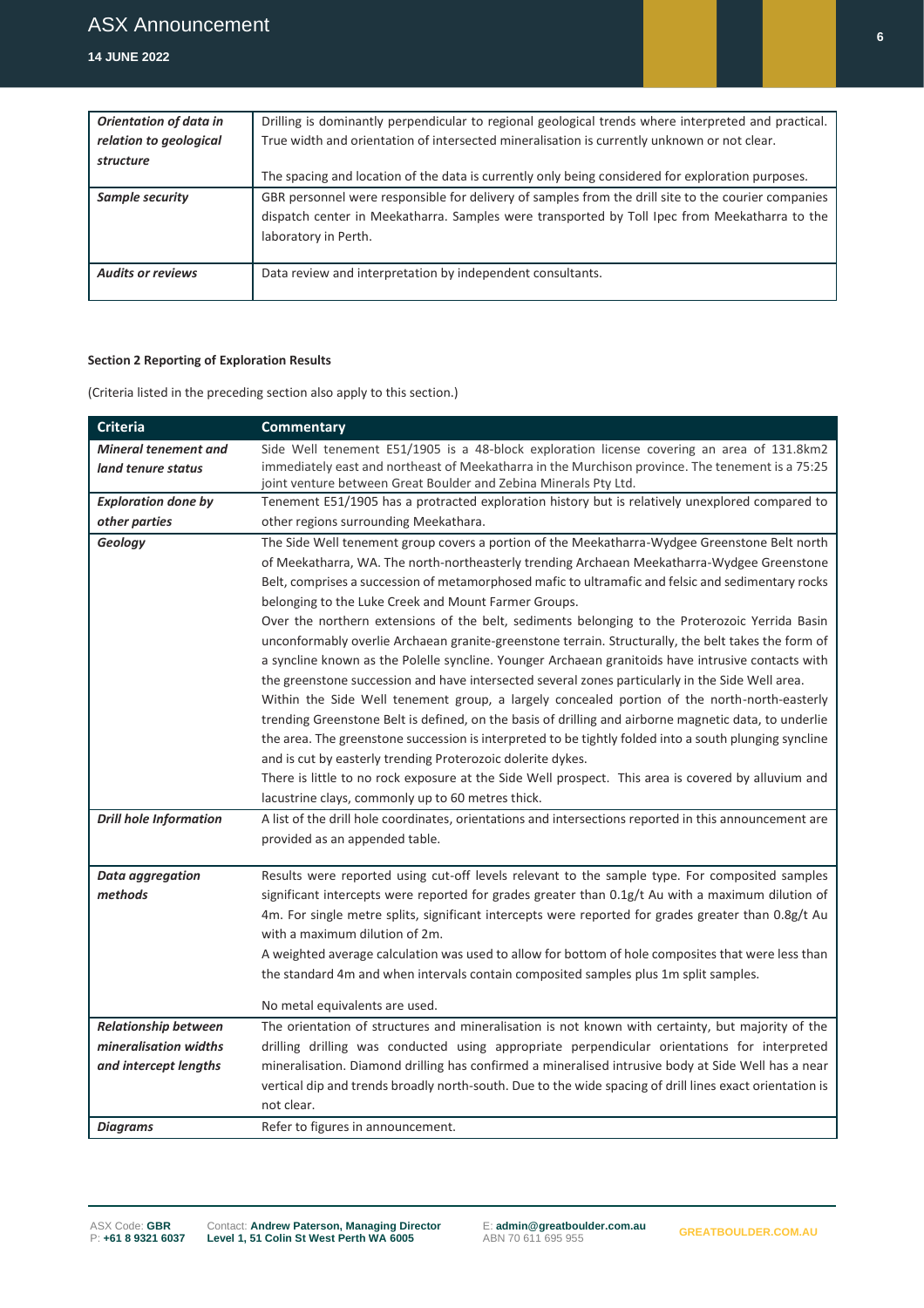#### **14 JUNE 2022**

| <b>Orientation of data in</b> | Drilling is dominantly perpendicular to regional geological trends where interpreted and practical. |
|-------------------------------|-----------------------------------------------------------------------------------------------------|
| relation to geological        | True width and orientation of intersected mineralisation is currently unknown or not clear.         |
| structure                     |                                                                                                     |
|                               | The spacing and location of the data is currently only being considered for exploration purposes.   |
| Sample security               | GBR personnel were responsible for delivery of samples from the drill site to the courier companies |
|                               | dispatch center in Meekatharra. Samples were transported by Toll Ipec from Meekatharra to the       |
|                               | laboratory in Perth.                                                                                |
|                               |                                                                                                     |
| <b>Audits or reviews</b>      | Data review and interpretation by independent consultants.                                          |
|                               |                                                                                                     |

#### **Section 2 Reporting of Exploration Results**

(Criteria listed in the preceding section also apply to this section.)

| <b>Criteria</b>                                   | <b>Commentary</b>                                                                                                                                                                                                                                                                                                                                                                                                                                                                                                                                                                                                                                                                                                                                                                                                                                                                                                                                                                                                                                                                                                                                                                                                                                                      |
|---------------------------------------------------|------------------------------------------------------------------------------------------------------------------------------------------------------------------------------------------------------------------------------------------------------------------------------------------------------------------------------------------------------------------------------------------------------------------------------------------------------------------------------------------------------------------------------------------------------------------------------------------------------------------------------------------------------------------------------------------------------------------------------------------------------------------------------------------------------------------------------------------------------------------------------------------------------------------------------------------------------------------------------------------------------------------------------------------------------------------------------------------------------------------------------------------------------------------------------------------------------------------------------------------------------------------------|
| <b>Mineral tenement and</b><br>land tenure status | Side Well tenement E51/1905 is a 48-block exploration license covering an area of 131.8km2<br>immediately east and northeast of Meekatharra in the Murchison province. The tenement is a 75:25<br>joint venture between Great Boulder and Zebina Minerals Pty Ltd.                                                                                                                                                                                                                                                                                                                                                                                                                                                                                                                                                                                                                                                                                                                                                                                                                                                                                                                                                                                                     |
| <b>Exploration done by</b>                        | Tenement E51/1905 has a protracted exploration history but is relatively unexplored compared to                                                                                                                                                                                                                                                                                                                                                                                                                                                                                                                                                                                                                                                                                                                                                                                                                                                                                                                                                                                                                                                                                                                                                                        |
| other parties                                     | other regions surrounding Meekathara.                                                                                                                                                                                                                                                                                                                                                                                                                                                                                                                                                                                                                                                                                                                                                                                                                                                                                                                                                                                                                                                                                                                                                                                                                                  |
| Geology                                           | The Side Well tenement group covers a portion of the Meekatharra-Wydgee Greenstone Belt north<br>of Meekatharra, WA. The north-northeasterly trending Archaean Meekatharra-Wydgee Greenstone<br>Belt, comprises a succession of metamorphosed mafic to ultramafic and felsic and sedimentary rocks<br>belonging to the Luke Creek and Mount Farmer Groups.<br>Over the northern extensions of the belt, sediments belonging to the Proterozoic Yerrida Basin<br>unconformably overlie Archaean granite-greenstone terrain. Structurally, the belt takes the form of<br>a syncline known as the Polelle syncline. Younger Archaean granitoids have intrusive contacts with<br>the greenstone succession and have intersected several zones particularly in the Side Well area.<br>Within the Side Well tenement group, a largely concealed portion of the north-north-easterly<br>trending Greenstone Belt is defined, on the basis of drilling and airborne magnetic data, to underlie<br>the area. The greenstone succession is interpreted to be tightly folded into a south plunging syncline<br>and is cut by easterly trending Proterozoic dolerite dykes.<br>There is little to no rock exposure at the Side Well prospect. This area is covered by alluvium and |
|                                                   | lacustrine clays, commonly up to 60 metres thick.                                                                                                                                                                                                                                                                                                                                                                                                                                                                                                                                                                                                                                                                                                                                                                                                                                                                                                                                                                                                                                                                                                                                                                                                                      |
| <b>Drill hole Information</b>                     | A list of the drill hole coordinates, orientations and intersections reported in this announcement are<br>provided as an appended table.                                                                                                                                                                                                                                                                                                                                                                                                                                                                                                                                                                                                                                                                                                                                                                                                                                                                                                                                                                                                                                                                                                                               |
| <b>Data aggregation</b><br>methods                | Results were reported using cut-off levels relevant to the sample type. For composited samples<br>significant intercepts were reported for grades greater than 0.1g/t Au with a maximum dilution of<br>4m. For single metre splits, significant intercepts were reported for grades greater than 0.8g/t Au<br>with a maximum dilution of 2m.<br>A weighted average calculation was used to allow for bottom of hole composites that were less than<br>the standard 4m and when intervals contain composited samples plus 1m split samples.<br>No metal equivalents are used.                                                                                                                                                                                                                                                                                                                                                                                                                                                                                                                                                                                                                                                                                           |
| <b>Relationship between</b>                       | The orientation of structures and mineralisation is not known with certainty, but majority of the                                                                                                                                                                                                                                                                                                                                                                                                                                                                                                                                                                                                                                                                                                                                                                                                                                                                                                                                                                                                                                                                                                                                                                      |
| mineralisation widths<br>and intercept lengths    | drilling drilling was conducted using appropriate perpendicular orientations for interpreted<br>mineralisation. Diamond drilling has confirmed a mineralised intrusive body at Side Well has a near<br>vertical dip and trends broadly north-south. Due to the wide spacing of drill lines exact orientation is                                                                                                                                                                                                                                                                                                                                                                                                                                                                                                                                                                                                                                                                                                                                                                                                                                                                                                                                                        |
| <b>Diagrams</b>                                   | not clear.<br>Refer to figures in announcement.                                                                                                                                                                                                                                                                                                                                                                                                                                                                                                                                                                                                                                                                                                                                                                                                                                                                                                                                                                                                                                                                                                                                                                                                                        |
|                                                   |                                                                                                                                                                                                                                                                                                                                                                                                                                                                                                                                                                                                                                                                                                                                                                                                                                                                                                                                                                                                                                                                                                                                                                                                                                                                        |